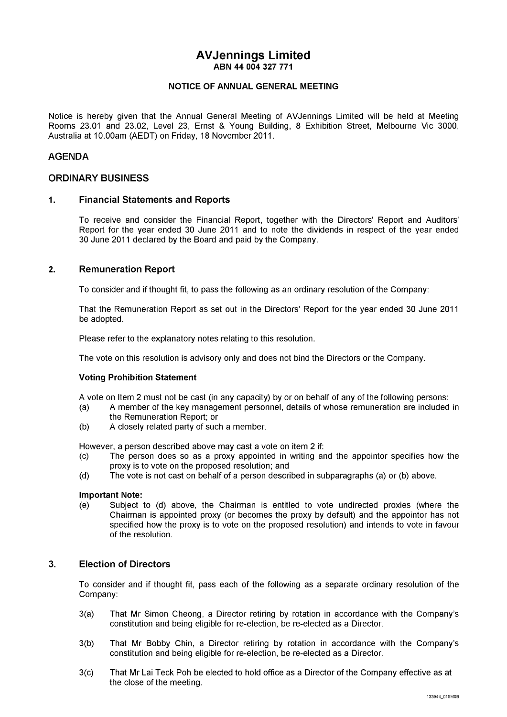## **AVJennings Limited** ABN 44 004 327 771

#### **NOTICE OF ANNUAL GENERAL MEETING**

Notice is hereby given that the Annual General Meeting of AVJennings Limited will be held at Meeting Rooms 23.01 and 23.02, Level 23, Ernst & Young Building, 8 Exhibition Street, Melbourne Vic 3000, Australia at 10.00am (AEDT) on Friday, 18 November 2011.

#### **AGENDA**

#### **ORDINARY BUSINESS**

#### $\mathbf{1}$ . **Financial Statements and Reports**

To receive and consider the Financial Report, together with the Directors' Report and Auditors' Report for the year ended 30 June 2011 and to note the dividends in respect of the year ended 30 June 2011 declared by the Board and paid by the Company.

#### $2.$ **Remuneration Report**

To consider and if thought fit, to pass the following as an ordinary resolution of the Company:

That the Remuneration Report as set out in the Directors' Report for the year ended 30 June 2011 be adopted.

Please refer to the explanatory notes relating to this resolution.

The vote on this resolution is advisory only and does not bind the Directors or the Company.

#### **Voting Prohibition Statement**

A vote on Item 2 must not be cast (in any capacity) by or on behalf of any of the following persons:

- A member of the key management personnel, details of whose remuneration are included in  $(a)$ the Remuneration Report; or
- A closely related party of such a member.  $(b)$

However, a person described above may cast a vote on item 2 if:

- The person does so as a proxy appointed in writing and the appointor specifies how the  $(c)$ proxy is to vote on the proposed resolution; and
- $(d)$ The vote is not cast on behalf of a person described in subparagraphs (a) or (b) above.

#### **Important Note:**

Subject to (d) above, the Chairman is entitled to vote undirected proxies (where the  $(e)$ Chairman is appointed proxy (or becomes the proxy by default) and the appointor has not specified how the proxy is to vote on the proposed resolution) and intends to vote in favour of the resolution.

#### 3. **Election of Directors**

To consider and if thought fit, pass each of the following as a separate ordinary resolution of the Company:

- That Mr Simon Cheong, a Director retiring by rotation in accordance with the Company's  $3(a)$ constitution and being eligible for re-election, be re-elected as a Director.
- That Mr Bobby Chin, a Director retiring by rotation in accordance with the Company's  $3(b)$ constitution and being eligible for re-election, be re-elected as a Director.
- That Mr Lai Teck Poh be elected to hold office as a Director of the Company effective as at  $3(c)$ the close of the meeting.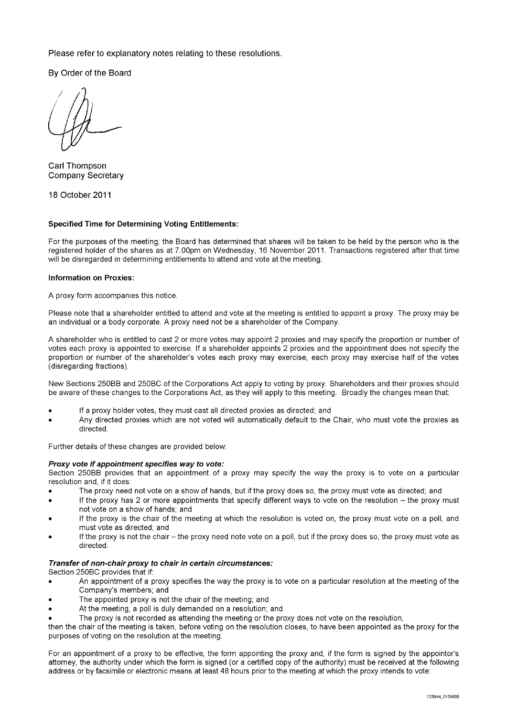Please refer to explanatory notes relating to these resolutions.

By Order of the Board

Carl Thompson **Company Secretary** 

18 October 2011

#### **Specified Time for Determining Voting Entitlements:**

For the purposes of the meeting, the Board has determined that shares will be taken to be held by the person who is the registered holder of the shares as at 7.00pm on Wednesday, 16 November 2011. Transactions registered after that time will be disregarded in determining entitlements to attend and vote at the meeting.

#### **Information on Proxies:**

A proxy form accompanies this notice.

Please note that a shareholder entitled to attend and vote at the meeting is entitled to appoint a proxy. The proxy may be an individual or a body corporate. A proxy need not be a shareholder of the Company.

A shareholder who is entitled to cast 2 or more votes may appoint 2 proxies and may specify the proportion or number of votes each proxy is appointed to exercise. If a shareholder appoints 2 proxies and the appointment does not specify the proportion or number of the shareholder's votes each proxy may exercise, each proxy may exercise half of the votes (disregarding fractions).

New Sections 250BB and 250BC of the Corporations Act apply to voting by proxy. Shareholders and their proxies should be aware of these changes to the Corporations Act, as they will apply to this meeting. Broadly the changes mean that:

- If a proxy holder votes, they must cast all directed proxies as directed; and
- Any directed proxies which are not voted will automatically default to the Chair, who must vote the proxies as directed.

Further details of these changes are provided below:

#### Proxy vote if appointment specifies way to vote:

Section 250BB provides that an appointment of a proxy may specify the way the proxy is to vote on a particular resolution and, if it does:

- The proxy need not vote on a show of hands, but if the proxy does so, the proxy must vote as directed; and
- If the proxy has 2 or more appointments that specify different ways to vote on the resolution the proxy must not vote on a show of hands: and
- If the proxy is the chair of the meeting at which the resolution is voted on, the proxy must vote on a poll, and must vote as directed; and
- If the proxy is not the chair the proxy need note vote on a poll, but if the proxy does so, the proxy must vote as directed.

#### Transfer of non-chair proxy to chair in certain circumstances:

Section 250BC provides that if:

- An appointment of a proxy specifies the way the proxy is to vote on a particular resolution at the meeting of the Company's members; and
- The appointed proxy is not the chair of the meeting; and
- At the meeting, a poll is duly demanded on a resolution; and
- The proxy is not recorded as attending the meeting or the proxy does not vote on the resolution,

then the chair of the meeting is taken, before voting on the resolution closes, to have been appointed as the proxy for the purposes of voting on the resolution at the meeting.

For an appointment of a proxy to be effective, the form appointing the proxy and, if the form is signed by the appointor's attorney, the authority under which the form is signed (or a certified copy of the authority) must be received at the following address or by facsimile or electronic means at least 48 hours prior to the meeting at which the proxy intends to vote: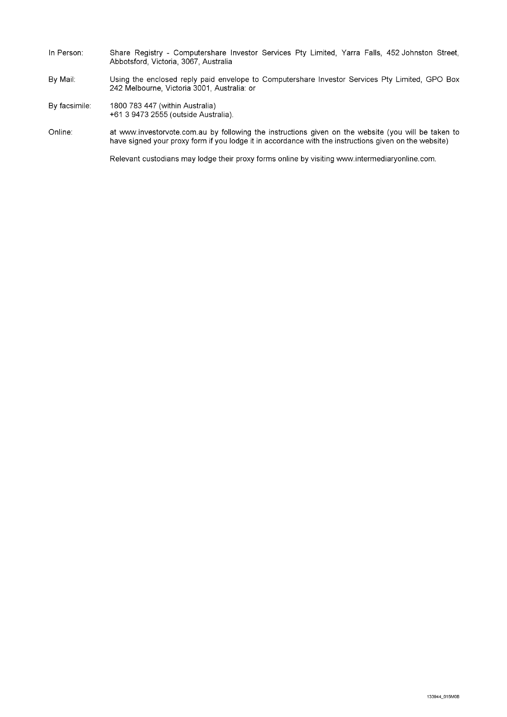- Share Registry Computershare Investor Services Pty Limited, Yarra Falls, 452 Johnston Street, In Person: Abbotsford, Victoria, 3067, Australia
- Using the enclosed reply paid envelope to Computershare Investor Services Pty Limited, GPO Box 242 Melbourne, Victoria 3001, Australia: or By Mail:
- By facsimile: 1800 783 447 (within Australia) +61 3 9473 2555 (outside Australia).
- Online: at www.investorvote.com.au by following the instructions given on the website (you will be taken to have signed your proxy form if you lodge it in accordance with the instructions given on the website)

Relevant custodians may lodge their proxy forms online by visiting www.intermediaryonline.com.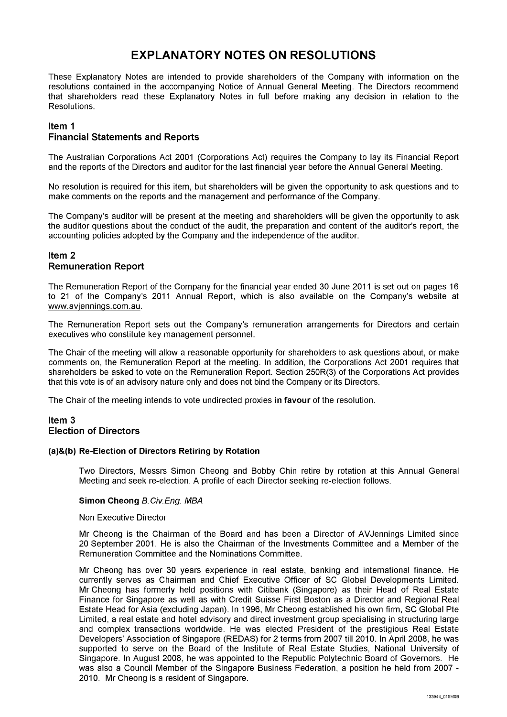# **EXPLANATORY NOTES ON RESOLUTIONS**

These Explanatory Notes are intended to provide shareholders of the Company with information on the resolutions contained in the accompanying Notice of Annual General Meeting. The Directors recommend that shareholders read these Explanatory Notes in full before making any decision in relation to the Resolutions.

#### Item 1

#### **Financial Statements and Reports**

The Australian Corporations Act 2001 (Corporations Act) requires the Company to lay its Financial Report and the reports of the Directors and auditor for the last financial year before the Annual General Meeting.

No resolution is required for this item, but shareholders will be given the opportunity to ask questions and to make comments on the reports and the management and performance of the Company.

The Company's auditor will be present at the meeting and shareholders will be given the opportunity to ask the auditor questions about the conduct of the audit, the preparation and content of the auditor's report, the accounting policies adopted by the Company and the independence of the auditor.

#### Item<sub>2</sub> **Remuneration Report**

The Remuneration Report of the Company for the financial year ended 30 June 2011 is set out on pages 16 to 21 of the Company's 2011 Annual Report, which is also available on the Company's website at www.avjennings.com.au.

The Remuneration Report sets out the Company's remuneration arrangements for Directors and certain executives who constitute key management personnel.

The Chair of the meeting will allow a reasonable opportunity for shareholders to ask questions about, or make comments on, the Remuneration Report at the meeting. In addition, the Corporations Act 2001 requires that shareholders be asked to vote on the Remuneration Report. Section 250R(3) of the Corporations Act provides that this vote is of an advisory nature only and does not bind the Company or its Directors.

The Chair of the meeting intends to vote undirected proxies in favour of the resolution.

#### Item 3 **Election of Directors**

#### (a)&(b) Re-Election of Directors Retiring by Rotation

Two Directors, Messrs Simon Cheong and Bobby Chin retire by rotation at this Annual General Meeting and seek re-election. A profile of each Director seeking re-election follows.

#### Simon Cheong B. Civ. Eng. MBA

#### Non Executive Director

Mr Cheong is the Chairman of the Board and has been a Director of AVJennings Limited since 20 September 2001. He is also the Chairman of the Investments Committee and a Member of the Remuneration Committee and the Nominations Committee.

Mr Cheong has over 30 years experience in real estate, banking and international finance. He currently serves as Chairman and Chief Executive Officer of SC Global Developments Limited. Mr Cheong has formerly held positions with Citibank (Singapore) as their Head of Real Estate Finance for Singapore as well as with Credit Suisse First Boston as a Director and Regional Real Estate Head for Asia (excluding Japan). In 1996, Mr Cheong established his own firm, SC Global Pte Limited, a real estate and hotel advisory and direct investment group specialising in structuring large and complex transactions worldwide. He was elected President of the prestigious Real Estate Developers' Association of Singapore (REDAS) for 2 terms from 2007 till 2010. In April 2008, he was supported to serve on the Board of the Institute of Real Estate Studies, National University of Singapore. In August 2008, he was appointed to the Republic Polytechnic Board of Governors. He was also a Council Member of the Singapore Business Federation, a position he held from 2007 -2010. Mr Cheong is a resident of Singapore.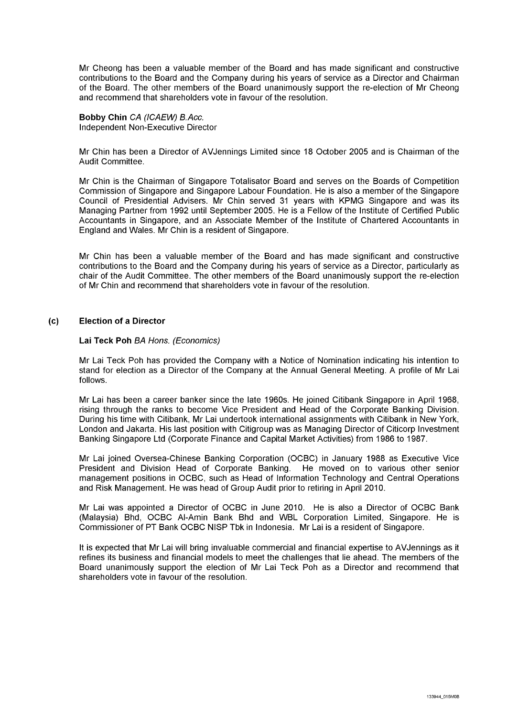Mr Cheong has been a valuable member of the Board and has made significant and constructive contributions to the Board and the Company during his years of service as a Director and Chairman of the Board. The other members of the Board unanimously support the re-election of Mr Cheong and recommend that shareholders vote in favour of the resolution.

#### Bobby Chin CA (ICAEW) B.Acc. Independent Non-Executive Director

Mr Chin has been a Director of AVJennings Limited since 18 October 2005 and is Chairman of the Audit Committee.

Mr Chin is the Chairman of Singapore Totalisator Board and serves on the Boards of Competition Commission of Singapore and Singapore Labour Foundation. He is also a member of the Singapore Council of Presidential Advisers. Mr Chin served 31 years with KPMG Singapore and was its Managing Partner from 1992 until September 2005. He is a Fellow of the Institute of Certified Public Accountants in Singapore, and an Associate Member of the Institute of Chartered Accountants in England and Wales. Mr Chin is a resident of Singapore.

Mr Chin has been a valuable member of the Board and has made significant and constructive contributions to the Board and the Company during his years of service as a Director, particularly as chair of the Audit Committee. The other members of the Board unanimously support the re-election of Mr Chin and recommend that shareholders vote in favour of the resolution.

#### **Election of a Director**  $(c)$

#### Lai Teck Poh BA Hons. (Economics)

Mr Lai Teck Poh has provided the Company with a Notice of Nomination indicating his intention to stand for election as a Director of the Company at the Annual General Meeting. A profile of Mr Lai follows.

Mr Lai has been a career banker since the late 1960s. He joined Citibank Singapore in April 1968. rising through the ranks to become Vice President and Head of the Corporate Banking Division. During his time with Citibank, Mr Lai undertook international assignments with Citibank in New York, London and Jakarta. His last position with Citigroup was as Managing Director of Citicorp Investment Banking Singapore Ltd (Corporate Finance and Capital Market Activities) from 1986 to 1987.

Mr Lai joined Oversea-Chinese Banking Corporation (OCBC) in January 1988 as Executive Vice President and Division Head of Corporate Banking. He moved on to various other senior management positions in OCBC, such as Head of Information Technology and Central Operations and Risk Management. He was head of Group Audit prior to retiring in April 2010.

Mr Lai was appointed a Director of OCBC in June 2010. He is also a Director of OCBC Bank (Malaysia) Bhd, OCBC Al-Amin Bank Bhd and WBL Corporation Limited, Singapore. He is Commissioner of PT Bank OCBC NISP Tbk in Indonesia. Mr Lai is a resident of Singapore.

It is expected that Mr Lai will bring invaluable commercial and financial expertise to AVJennings as it refines its business and financial models to meet the challenges that lie ahead. The members of the Board unanimously support the election of Mr Lai Teck Poh as a Director and recommend that shareholders vote in favour of the resolution.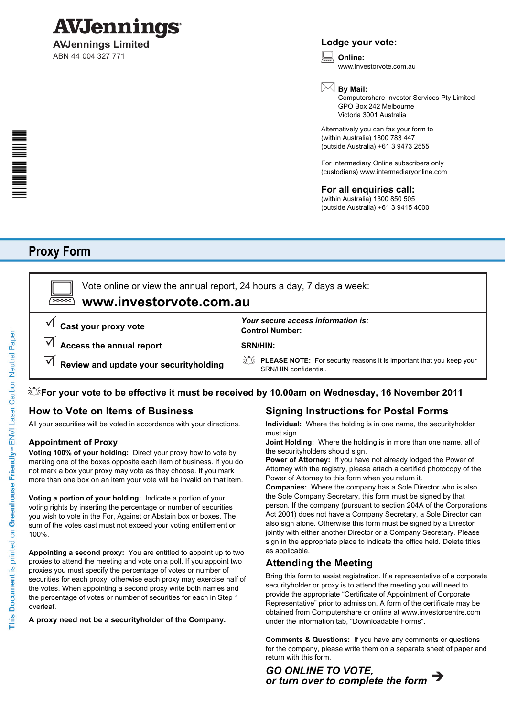**AVJennings** 

**AVJennings Limited** ABN 44 004 327 771

## **Lodge your vote:**

**Online:** www.investorvote.com.au  $\boxed{\Box}$ 

**By Mail:**

Computershare Investor Services Pty Limited GPO Box 242 Melbourne Victoria 3001 Australia

Alternatively you can fax your form to (within Australia) 1800 783 447 (outside Australia) +61 3 9473 2555

For Intermediary Online subscribers only (custodians) www.intermediaryonline.com

## **For all enquiries call:**

(within Australia) 1300 850 505 (outside Australia) +61 3 9415 4000

# **Proxy Form**

**www.investorvote.com.au** Vote online or view the annual report, 24 hours a day, 7 days a week:

**Cast your proxy vote**

**Access the annual report**

 $\overline{\mathsf{M}}$ **Review and update your securityholding** *Your secure access information is:*

**Control Number:** 

**SRN/HIN:** 

**PLEASE NOTE:** For security reasons it is important that you keep your SRN/HIN confidential.

## **For your vote to be effective it must be received by 10.00am on Wednesday, 16 November 2011**

## **How to Vote on Items of Business**

All your securities will be voted in accordance with your directions.

#### **Appointment of Proxy**

**Voting 100% of your holding:** Direct your proxy how to vote by marking one of the boxes opposite each item of business. If you do not mark a box your proxy may vote as they choose. If you mark more than one box on an item your vote will be invalid on that item.

**Voting a portion of your holding:** Indicate a portion of your voting rights by inserting the percentage or number of securities you wish to vote in the For, Against or Abstain box or boxes. The sum of the votes cast must not exceed your voting entitlement or 100%.

**Appointing a second proxy:** You are entitled to appoint up to two proxies to attend the meeting and vote on a poll. If you appoint two proxies you must specify the percentage of votes or number of securities for each proxy, otherwise each proxy may exercise half of the votes. When appointing a second proxy write both names and the percentage of votes or number of securities for each in Step 1 overleaf.

**A proxy need not be a securityholder of the Company.**

# **Signing Instructions for Postal Forms**

**Individual:** Where the holding is in one name, the securityholder must sign.

**Joint Holding:** Where the holding is in more than one name, all of the securityholders should sign.

**Power of Attorney:** If you have not already lodged the Power of Attorney with the registry, please attach a certified photocopy of the Power of Attorney to this form when you return it.

**Companies:** Where the company has a Sole Director who is also the Sole Company Secretary, this form must be signed by that person. If the company (pursuant to section 204A of the Corporations Act 2001) does not have a Company Secretary, a Sole Director can also sign alone. Otherwise this form must be signed by a Director jointly with either another Director or a Company Secretary. Please sign in the appropriate place to indicate the office held. Delete titles as applicable.

## **Attending the Meeting**

Bring this form to assist registration. If a representative of a corporate securityholder or proxy is to attend the meeting you will need to provide the appropriate "Certificate of Appointment of Corporate Representative" prior to admission. A form of the certificate may be obtained from Computershare or online at www.investorcentre.com under the information tab, "Downloadable Forms".

**Comments & Questions:** If you have any comments or questions for the company, please write them on a separate sheet of paper and return with this form.

*GO ONLINE TO VOTE, or turn over to complete the form*

**Froxy Formula**